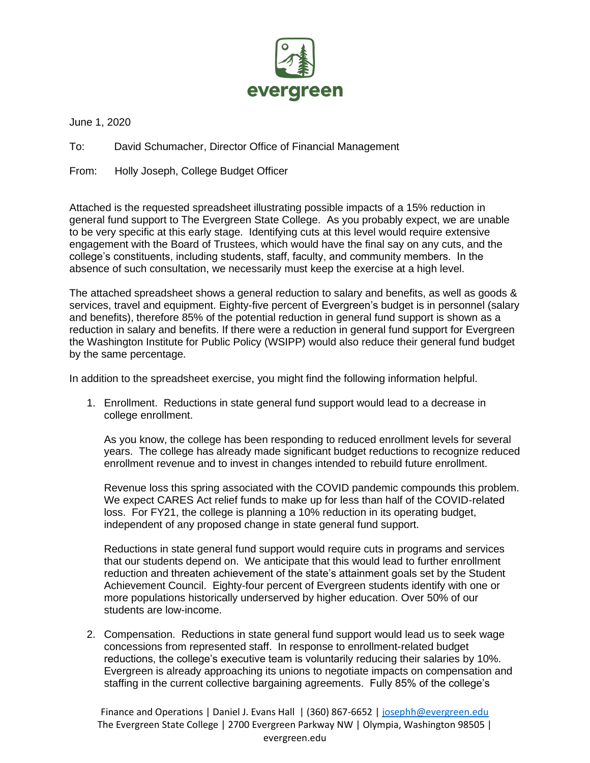

June 1, 2020

To: David Schumacher, Director Office of Financial Management

From: Holly Joseph, College Budget Officer

Attached is the requested spreadsheet illustrating possible impacts of a 15% reduction in general fund support to The Evergreen State College. As you probably expect, we are unable to be very specific at this early stage. Identifying cuts at this level would require extensive engagement with the Board of Trustees, which would have the final say on any cuts, and the college's constituents, including students, staff, faculty, and community members. In the absence of such consultation, we necessarily must keep the exercise at a high level.

The attached spreadsheet shows a general reduction to salary and benefits, as well as goods & services, travel and equipment. Eighty-five percent of Evergreen's budget is in personnel (salary and benefits), therefore 85% of the potential reduction in general fund support is shown as a reduction in salary and benefits. If there were a reduction in general fund support for Evergreen the Washington Institute for Public Policy (WSIPP) would also reduce their general fund budget by the same percentage.

In addition to the spreadsheet exercise, you might find the following information helpful.

1. Enrollment. Reductions in state general fund support would lead to a decrease in college enrollment.

As you know, the college has been responding to reduced enrollment levels for several years. The college has already made significant budget reductions to recognize reduced enrollment revenue and to invest in changes intended to rebuild future enrollment.

Revenue loss this spring associated with the COVID pandemic compounds this problem. We expect CARES Act relief funds to make up for less than half of the COVID-related loss. For FY21, the college is planning a 10% reduction in its operating budget, independent of any proposed change in state general fund support.

Reductions in state general fund support would require cuts in programs and services that our students depend on. We anticipate that this would lead to further enrollment reduction and threaten achievement of the state's attainment goals set by the Student Achievement Council. Eighty-four percent of Evergreen students identify with one or more populations historically underserved by higher education. Over 50% of our students are low-income.

2. Compensation. Reductions in state general fund support would lead us to seek wage concessions from represented staff. In response to enrollment-related budget reductions, the college's executive team is voluntarily reducing their salaries by 10%. Evergreen is already approaching its unions to negotiate impacts on compensation and staffing in the current collective bargaining agreements. Fully 85% of the college's

Finance and Operations | Daniel J. Evans Hall | (360) 867-6652 [| josephh@evergreen.edu](mailto:josephh@evergreen.edu) The Evergreen State College | 2700 Evergreen Parkway NW | Olympia, Washington 98505 | evergreen.edu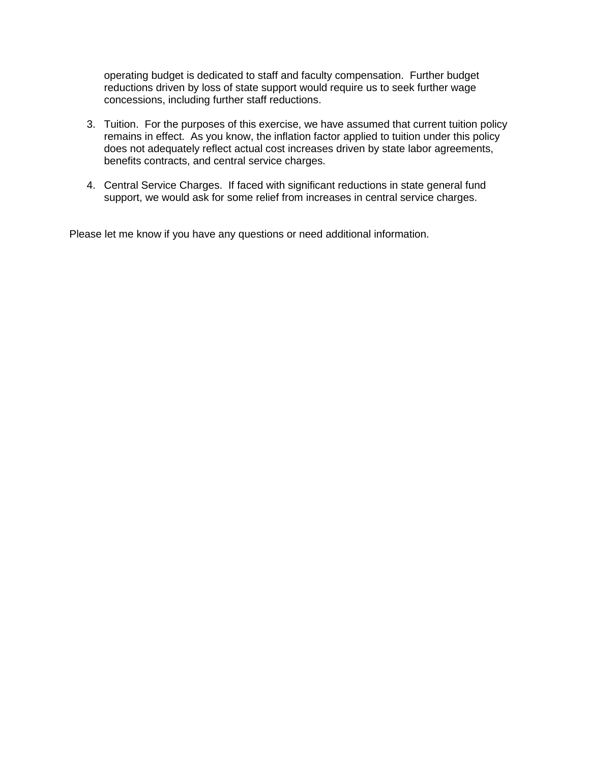operating budget is dedicated to staff and faculty compensation. Further budget reductions driven by loss of state support would require us to seek further wage concessions, including further staff reductions.

- 3. Tuition. For the purposes of this exercise, we have assumed that current tuition policy remains in effect. As you know, the inflation factor applied to tuition under this policy does not adequately reflect actual cost increases driven by state labor agreements, benefits contracts, and central service charges.
- 4. Central Service Charges. If faced with significant reductions in state general fund support, we would ask for some relief from increases in central service charges.

Please let me know if you have any questions or need additional information.